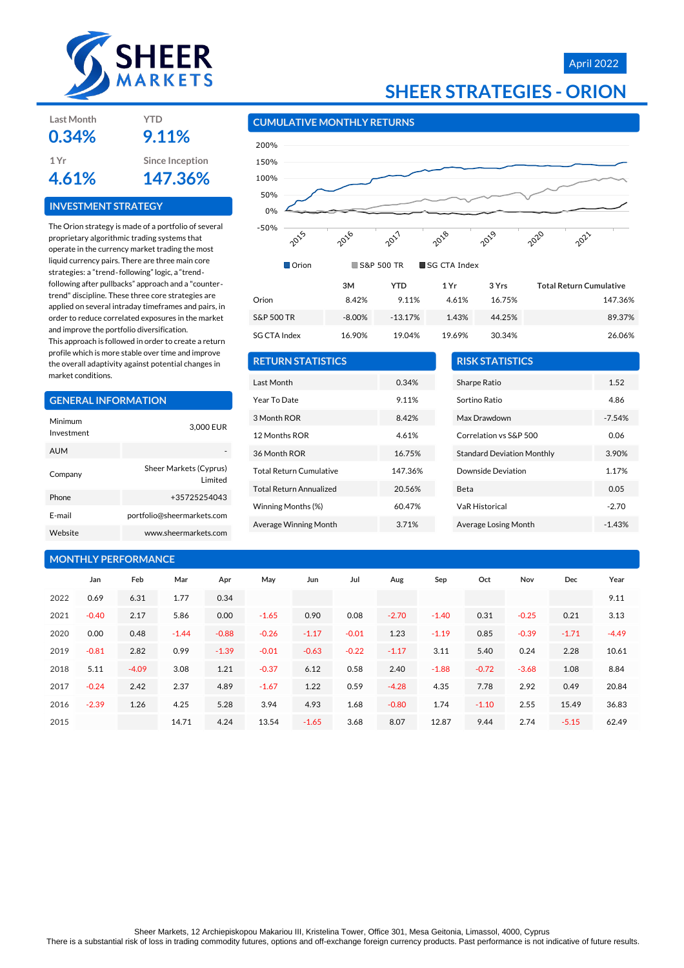

### April 2022

| <b>SHEER STRATEGIES - ORION</b> |  |
|---------------------------------|--|
|---------------------------------|--|

| <b>Last Month</b> | YTD             |
|-------------------|-----------------|
| 0.34%             | 9.11%           |
| 1 Yr              | Since Inception |
| 4.61%             | 147.36%         |

#### **INVESTMENT STRATEGY**

The Orion strategy is made of a portfolio of several proprietary algorithmic trading systems that operate in the currency market trading the most liquid currency pairs. There are three main core strategies: a "trend‐following" logic, a "trend‐ following after pullbacks" approach and a "counter‐ trend" discipline. These three core strategies are applied on several intraday timeframes and pairs, in order to reduce correlated exposures in the market and improve the portfolio diversification.

This approach is followed in order to create a return profile which is more stable over time and improve the overall adaptivity against potential changes in market conditions.

# **GENERAL INFORMATION**

| Minimum<br>Investment | 3,000 EUR                          |
|-----------------------|------------------------------------|
| <b>AUM</b>            |                                    |
| Company               | Sheer Markets (Cyprus)<br>I imited |
| Phone                 | +35725254043                       |
| F-mail                | portfolio@sheermarkets.com         |
| Website               | www.sheermarkets.com               |

### **MONTHLY PERFORMANCE**

#### **CUMULATIVE MONTHLY RETURNS**



| <b>RETURN STATISTICS</b>       |         |
|--------------------------------|---------|
| Last Month                     | 0.34%   |
| Year To Date                   | 9.11%   |
| 3 Month ROR                    | 8.42%   |
| 12 Months ROR                  | 461%    |
| 36 Month ROR                   | 16.75%  |
| <b>Total Return Cumulative</b> | 147.36% |
| <b>Total Return Annualized</b> | 20.56%  |
| Winning Months (%)             | 60.47%  |
| Average Winning Month          | 3.71%   |

| <b>RISK STATISTICS</b>            |          |
|-----------------------------------|----------|
| Sharpe Ratio                      | 1.52     |
| Sortino Ratio                     | 4.86     |
| Max Drawdown                      | $-7.54%$ |
| Correlation vs S&P 500            | 0.06     |
| <b>Standard Deviation Monthly</b> | 3.90%    |
| Downside Deviation                | 1.17%    |
| Beta                              | 0.05     |
| <b>VaR Historical</b>             | $-2.70$  |
| Average Losing Month              | $-1.43%$ |

|      | Jan     | Feb     | Mar     | Apr     | May     | Jun     | Jul     | Aug     | Sep     | Oct     | Nov     | Dec     | Year    |
|------|---------|---------|---------|---------|---------|---------|---------|---------|---------|---------|---------|---------|---------|
| 2022 | 0.69    | 6.31    | 1.77    | 0.34    |         |         |         |         |         |         |         |         | 9.11    |
| 2021 | $-0.40$ | 2.17    | 5.86    | 0.00    | $-1.65$ | 0.90    | 0.08    | $-2.70$ | $-1.40$ | 0.31    | $-0.25$ | 0.21    | 3.13    |
| 2020 | 0.00    | 0.48    | $-1.44$ | $-0.88$ | $-0.26$ | $-1.17$ | $-0.01$ | 1.23    | $-1.19$ | 0.85    | $-0.39$ | $-1.71$ | $-4.49$ |
| 2019 | $-0.81$ | 2.82    | 0.99    | $-1.39$ | $-0.01$ | $-0.63$ | $-0.22$ | $-1.17$ | 3.11    | 5.40    | 0.24    | 2.28    | 10.61   |
| 2018 | 5.11    | $-4.09$ | 3.08    | 1.21    | $-0.37$ | 6.12    | 0.58    | 2.40    | $-1.88$ | $-0.72$ | $-3.68$ | 1.08    | 8.84    |
| 2017 | $-0.24$ | 2.42    | 2.37    | 4.89    | $-1.67$ | 1.22    | 0.59    | $-4.28$ | 4.35    | 7.78    | 2.92    | 0.49    | 20.84   |
| 2016 | $-2.39$ | 1.26    | 4.25    | 5.28    | 3.94    | 4.93    | 1.68    | $-0.80$ | 1.74    | $-1.10$ | 2.55    | 15.49   | 36.83   |
| 2015 |         |         | 14.71   | 4.24    | 13.54   | $-1.65$ | 3.68    | 8.07    | 12.87   | 9.44    | 2.74    | $-5.15$ | 62.49   |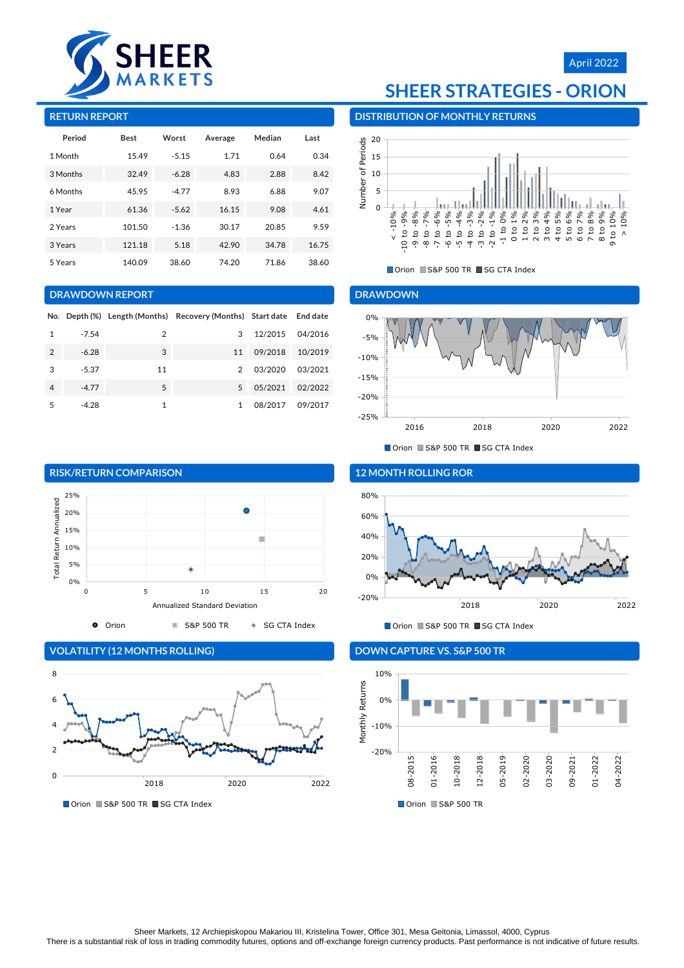

## April 2022

#### **RETURN REPORT**

| Period   | <b>Best</b> | Worst   | Average | Median | Last  |
|----------|-------------|---------|---------|--------|-------|
| 1 Month  | 15.49       | $-5.15$ | 1.71    | 0.64   | 0.34  |
| 3 Months | 32.49       | $-6.28$ | 4.83    | 2.88   | 8.42  |
| 6 Months | 45.95       | $-4.77$ | 8.93    | 6.88   | 9.07  |
| 1 Year   | 61.36       | $-5.62$ | 16.15   | 9.08   | 4.61  |
| 2 Years  | 101.50      | $-1.36$ | 30.17   | 20.85  | 9.59  |
| 3 Years  | 121.18      | 5.18    | 42.90   | 34.78  | 16.75 |
| 5 Years  | 140.09      | 38.60   | 74.20   | 71.86  | 38.60 |

#### **DRAWDOWN REPORT**

|   |         |    | No. Depth (%) Length (Months) Recovery (Months) Start date End date |         |         |
|---|---------|----|---------------------------------------------------------------------|---------|---------|
|   | $-7.54$ | 2  | 3                                                                   | 12/2015 | 04/2016 |
| 2 | $-6.28$ | 3  | 11                                                                  | 09/2018 | 10/2019 |
| 3 | $-5.37$ | 11 | $\mathcal{P}$                                                       | 03/2020 | 03/2021 |
| 4 | $-4.77$ | 5  | 5                                                                   | 05/2021 | 02/2022 |
| 5 | $-4.28$ | 1  |                                                                     | 08/2017 | 09/2017 |

# **SHEER STRATEGIES - ORION**

**DISTRIBUTION OF MONTHLY RETURNS**



■ Orion ■ S&P 500 TR ■ SG CTA Index

#### **DRAWDOWN**



■ Orion ■ S&P 500 TR ■ SG CTA Index



**VOLATILITY (12 MONTHS ROLLING)**



■ Orion ■ S&P 500 TR ■ SG CTA Index

#### **12 MONTH ROLLING ROR**



■ Orion ■ S&P 500 TR ■ SG CTA Index

### **DOWN CAPTURE VS. S&P 500 TR**